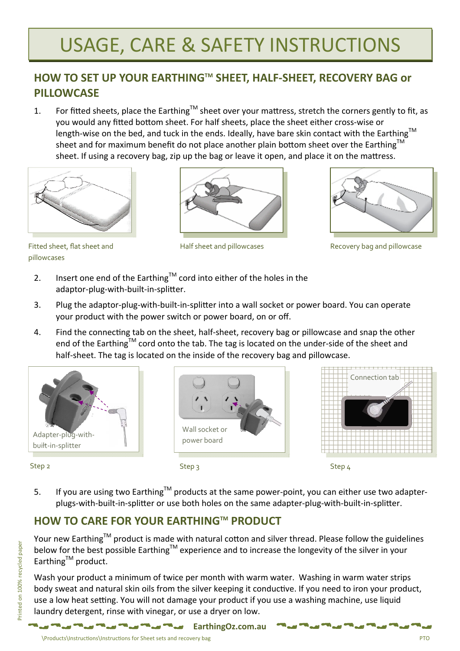## USAGE, CARE & SAFETY INSTRUCTIONS

### **HOW TO SET UP YOUR EARTHINGTM SHEET, HALF‐SHEET, RECOVERY BAG or PILLOWCASE**

1. For fitted sheets, place the Earthing<sup>TM</sup> sheet over your mattress, stretch the corners gently to fit, as you would any fitted bottom sheet. For half sheets, place the sheet either cross-wise or length-wise on the bed, and tuck in the ends. Ideally, have bare skin contact with the Earthing™ sheet and for maximum benefit do not place another plain bottom sheet over the Earthing<sup>TM</sup> sheet. If using a recovery bag, zip up the bag or leave it open, and place it on the mattress.



pillowcases





Fitted sheet, flat sheet and **Half sheet and pillowcases** Recovery bag and pillowcase

- 2. Insert one end of the Earthing<sup>TM</sup> cord into either of the holes in the adaptor-plug-with-built-in-splitter.
- 3. Plug the adaptor-plug-with-built-in-splitter into a wall socket or power board. You can operate your product with the power switch or power board, on or off.
- 4. Find the connecting tab on the sheet, half-sheet, recovery bag or pillowcase and snap the other end of the Earthing™ cord onto the tab. The tag is located on the under-side of the sheet and half-sheet. The tag is located on the inside of the recovery bag and pillowcase.



Wall socket or power board



Step 2 Step 3 Step 4

5. If you are using two Earthing™ products at the same power-point, you can either use two adapterplugs-with-built-in-splitter or use both holes on the same adapter-plug-with-built-in-splitter.

## **HOW TO CARE FOR YOUR EARTHINGTM PRODUCT**

Your new Earthing<sup>TM</sup> product is made with natural cotton and silver thread. Please follow the guidelines below for the best possible Earthing<sup>TM</sup> experience and to increase the longevity of the silver in your  $E$ arthing<sup>TM</sup> product.

Wash your product a minimum of twice per month with warm water. Washing in warm water strips body sweat and natural skin oils from the silver keeping it conductive. If you need to iron your product, use a low heat setting. You will not damage your product if you use a washing machine, use liquid laundry detergent, rinse with vinegar, or use a dryer on low.

**EarthingOz.com.au**